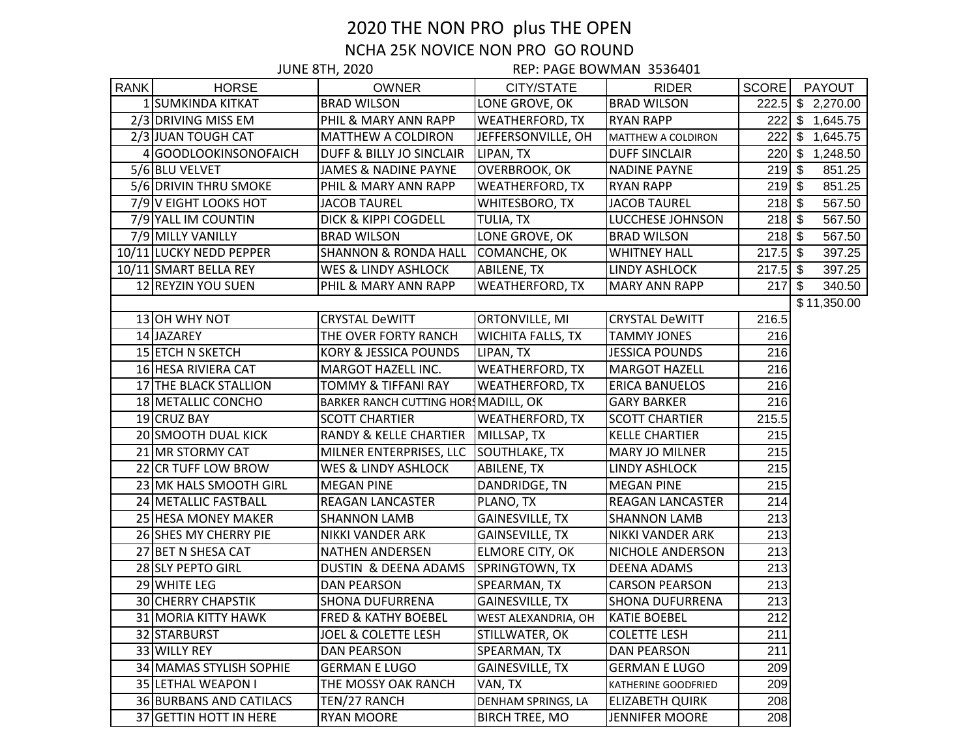## 2020 THE NON PRO plus THE OPEN NCHA 25K NOVICE NON PRO GO ROUND

|             | <b>JUNE 8TH, 2020</b>      |                                      | REP: PAGE BOWMAN 3536401 |                        |              |     |                     |
|-------------|----------------------------|--------------------------------------|--------------------------|------------------------|--------------|-----|---------------------|
| <b>RANK</b> | <b>HORSE</b>               | <b>OWNER</b>                         | CITY/STATE               | <b>RIDER</b>           | <b>SCORE</b> |     | <b>PAYOUT</b>       |
|             | 1 SUMKINDA KITKAT          | <b>BRAD WILSON</b>                   | LONE GROVE, OK           | <b>BRAD WILSON</b>     |              |     | $222.5$ \$ 2,270.00 |
|             | 2/3 DRIVING MISS EM        | PHIL & MARY ANN RAPP                 | <b>WEATHERFORD, TX</b>   | <b>RYAN RAPP</b>       |              |     | 222 \$ 1,645.75     |
|             | 2/3 JUAN TOUGH CAT         | MATTHEW A COLDIRON                   | JEFFERSONVILLE, OH       | MATTHEW A COLDIRON     |              |     | 222 \$ 1,645.75     |
|             | 4 GOODLOOKINSONOFAICH      | DUFF & BILLY JO SINCLAIR             | LIPAN, TX                | <b>DUFF SINCLAIR</b>   |              |     | 220 \$ 1,248.50     |
|             | 5/6 BLU VELVET             | JAMES & NADINE PAYNE                 | OVERBROOK, OK            | <b>NADINE PAYNE</b>    | $219$ \$     |     | 851.25              |
|             | 5/6 DRIVIN THRU SMOKE      | PHIL & MARY ANN RAPP                 | <b>WEATHERFORD, TX</b>   | <b>RYAN RAPP</b>       | $219$ \$     |     | 851.25              |
|             | 7/9 V EIGHT LOOKS HOT      | <b>JACOB TAUREL</b>                  | WHITESBORO, TX           | <b>JACOB TAUREL</b>    | $218$ \$     |     | 567.50              |
|             | 7/9 YALL IM COUNTIN        | DICK & KIPPI COGDELL                 | TULIA, TX                | LUCCHESE JOHNSON       | $218$ \$     |     | 567.50              |
|             | 7/9 MILLY VANILLY          | <b>BRAD WILSON</b>                   | LONE GROVE, OK           | <b>BRAD WILSON</b>     | $218$ \$     |     | 567.50              |
|             | 10/11 LUCKY NEDD PEPPER    | <b>SHANNON &amp; RONDA HALL</b>      | COMANCHE, OK             | <b>WHITNEY HALL</b>    | $217.5$ \$   |     | 397.25              |
|             | 10/11 SMART BELLA REY      | WES & LINDY ASHLOCK                  | ABILENE, TX              | LINDY ASHLOCK          | $217.5$ \$   |     | 397.25              |
|             | 12 REYZIN YOU SUEN         | PHIL & MARY ANN RAPP                 | <b>WEATHERFORD, TX</b>   | <b>MARY ANN RAPP</b>   | 217          | -\$ | 340.50              |
|             |                            |                                      |                          |                        |              |     | \$11,350.00         |
|             | 13 OH WHY NOT              | <b>CRYSTAL DeWITT</b>                | ORTONVILLE, MI           | <b>CRYSTAL DeWITT</b>  | 216.5        |     |                     |
|             | 14 JAZAREY                 | THE OVER FORTY RANCH                 | <b>WICHITA FALLS, TX</b> | <b>TAMMY JONES</b>     | 216          |     |                     |
|             | 15 ETCH N SKETCH           | KORY & JESSICA POUNDS                | LIPAN, TX                | <b>JESSICA POUNDS</b>  | 216          |     |                     |
|             | 16 HESA RIVIERA CAT        | MARGOT HAZELL INC.                   | <b>WEATHERFORD, TX</b>   | <b>MARGOT HAZELL</b>   | 216          |     |                     |
|             | 17 THE BLACK STALLION      | TOMMY & TIFFANI RAY                  | <b>WEATHERFORD, TX</b>   | <b>ERICA BANUELOS</b>  | 216          |     |                     |
|             | 18 METALLIC CONCHO         | BARKER RANCH CUTTING HORS MADILL, OK |                          | <b>GARY BARKER</b>     | 216          |     |                     |
|             | 19 CRUZ BAY                | <b>SCOTT CHARTIER</b>                | <b>WEATHERFORD, TX</b>   | <b>SCOTT CHARTIER</b>  | 215.5        |     |                     |
|             | 20 SMOOTH DUAL KICK        | RANDY & KELLE CHARTIER               | MILLSAP, TX              | <b>KELLE CHARTIER</b>  | 215          |     |                     |
|             | 21 MR STORMY CAT           | MILNER ENTERPRISES, LLC              | SOUTHLAKE, TX            | <b>MARY JO MILNER</b>  | 215          |     |                     |
|             | 22 CR TUFF LOW BROW        | WES & LINDY ASHLOCK                  | ABILENE, TX              | <b>LINDY ASHLOCK</b>   | 215          |     |                     |
|             | 23 MK HALS SMOOTH GIRL     | <b>MEGAN PINE</b>                    | DANDRIDGE, TN            | <b>MEGAN PINE</b>      | 215          |     |                     |
|             | 24 METALLIC FASTBALL       | REAGAN LANCASTER                     | PLANO, TX                | REAGAN LANCASTER       | 214          |     |                     |
|             | 25 HESA MONEY MAKER        | <b>SHANNON LAMB</b>                  | <b>GAINESVILLE, TX</b>   | <b>SHANNON LAMB</b>    | 213          |     |                     |
|             | 26 SHES MY CHERRY PIE      | NIKKI VANDER ARK                     | <b>GAINSEVILLE, TX</b>   | NIKKI VANDER ARK       | 213          |     |                     |
|             | 27 BET N SHESA CAT         | <b>NATHEN ANDERSEN</b>               | ELMORE CITY, OK          | NICHOLE ANDERSON       | 213          |     |                     |
|             | 28 SLY PEPTO GIRL          | DUSTIN & DEENA ADAMS                 | SPRINGTOWN, TX           | <b>DEENA ADAMS</b>     | 213          |     |                     |
|             | 29 WHITE LEG               | <b>DAN PEARSON</b>                   | SPEARMAN, TX             | <b>CARSON PEARSON</b>  | 213          |     |                     |
|             | <b>30 CHERRY CHAPSTIK</b>  | <b>SHONA DUFURRENA</b>               | <b>GAINESVILLE, TX</b>   | <b>SHONA DUFURRENA</b> | 213          |     |                     |
|             | <b>31 MORIA KITTY HAWK</b> | FRED & KATHY BOEBEL                  | WEST ALEXANDRIA, OH      | <b>KATIE BOEBEL</b>    | 212          |     |                     |
|             | 32 STARBURST               | JOEL & COLETTE LESH                  | STILLWATER, OK           | <b>COLETTE LESH</b>    | 211          |     |                     |
|             | 33 WILLY REY               | <b>DAN PEARSON</b>                   | SPEARMAN, TX             | DAN PEARSON            | 211          |     |                     |
|             | 34 MAMAS STYLISH SOPHIE    | <b>GERMAN E LUGO</b>                 | <b>GAINESVILLE, TX</b>   | <b>GERMAN E LUGO</b>   | 209          |     |                     |
|             | 35 LETHAL WEAPON I         | THE MOSSY OAK RANCH                  | VAN, TX                  | KATHERINE GOODFRIED    | 209          |     |                     |
|             | 36 BURBANS AND CATILACS    | TEN/27 RANCH                         | DENHAM SPRINGS, LA       | <b>ELIZABETH QUIRK</b> | 208          |     |                     |
|             | 37 GETTIN HOTT IN HERE     | RYAN MOORE                           | <b>BIRCH TREE, MO</b>    | <b>JENNIFER MOORE</b>  | 208          |     |                     |